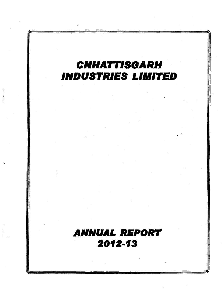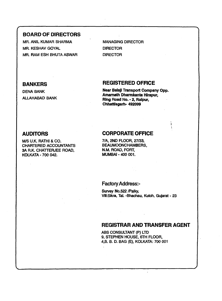### **BOARD OF DIRECTORS**

MR. ANIL KUMAR SHARMA MR. KESHAV GOYAL MR. RAM ESH BHUTA ASWAR MANAGING DIRECTOR **DIRECTOR** DIRECTOR

 $\bar{\gamma}$ 

### REGISTERED OFFICE

**Near Balaji Transport Company 0pp. Amarnath Dharmkanta Hirapur, Ring Road No. • 2, Raipur, Chhattisgarh- 492099**

# DENA BANK

BANKERS

ALLAHABAD BANK

### AUDITORS

**M/s** U.K. RATHI & CO. CHARTERED ACCOUNTANTS 3A R.K. CHATTERJEE ROAD. KOLKATA-700 042.

### CORPORATE OFFICE

7/A, 2ND FLOOR, 27/33, BEAUMOONCHAMBERS, N.M. ROAD. FORT. MUMBAI - 400 001.

### Factory Address:-

Survey No.522 /Paiky, Vill:Sikra, Tal. -Bhachau, Kutoh, Gujarat - 23

### **REGISTRAR AND TRANSFER AGENT**

ABS CONSULTANT (P) LTD 9, STEPHEN HOUSE. 6TH FLOOR. 4,B. B. D. BAG (E). KOLKATA: 700 001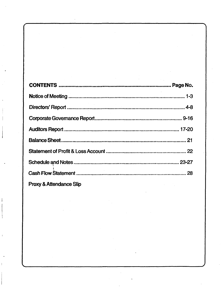| <b>Proxy &amp; Attendance Slip</b> |  |
|------------------------------------|--|

 $\ddot{\phantom{a}}$ 

 $\mathbf{L}^{(1)}$ 

 $\sim$ 

 $\label{eq:1} \mathcal{L}(\mathbf{y}) = \mathcal{L}(\mathbf{y}) \mathcal{L}(\mathbf{y})$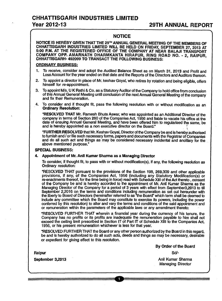## **29TH ANNUAL REPORT**

### **NOTICE**

NOTICE IS HEREBY GIVEN THAT THE 29™ ANNUAL GENERAL MEETING OF THE MEMBERS OF CHHATTISGARH INDUSTRIES LIMITED WILL BE HELD ON FRIDAY, SEPTEMBER 27, 2013 AT 5:00 P.M. AT THE REGISTERED OFFICE OF THE COMPANY AT NEAR BALAJI TRANSPORT COMPANY OPP. AMARNATH DHARMKANTA HIRAPUR, RING ROAD NO. - 2, RAIPUR. CHHATTISGARH- 492099 TO TRANSACT THE FOLLOWING BUSINESS:

#### ORDINARY BUSINESS:

- 1. To receive, consider and adopt the Audited Balance Sheet as on March 31, 2013 and Profit and Loss Account for the year ended on that date and the Reports of the Directors and Auditors thereon.
- 2. To appoint a director in place of Mr. keshav Goyal, who retires by rotation and being eligible, offers himself for re-appointment.
- 3. To appdnt M/s. U K Rathi & Co. as a Statutory Auditor of the Company to hold office from conclusion of this Annual General Meeting until conclusion of the next Annual General Meeting of the company and fix their Remuneration.
- 4. To consider and if thought fit, pass the following resolution with or without modification as an Ordinary Resolution:

"RESOLVED THAT Mr. Ramesh Bhuta Aswar, who was appointed as an Additional Director of the company in terms of Section 260 of the Companies Act, 1956 and liable to vacate his office at the date of ensuing Annual General Meeting, and have been offered him to regularised the same, be and is hereby appointed as a non executive director on the Board."

"FURTHER RESOLVED that Mr. Keshav Goyal, Director of the Company be and is hereby authorised to furnish and / or file such necessary forms, papers and documents with the Registrar of Companies and do all such act and things as may be considered necessary incidental and ancillary for the above mentioned purpose."

#### SPECIAL BUSINESS:

#### 4. Appointment of Mr. Anil Kumar Sharma as a Managing Director

To consider, if thought fit, to pass with or without modification(s), if any, the following resolution as Ordinary resolution;

"RESOLVED THAT pursuant to the provisions of the Section 198, 269,309 and other applicable provisions, if any, of the Companies Act, 1956 (including any Statutory Modification(s) or re-enactments thereof, for the time being in force) read with Schedule XIII of the Act thereto, consent of the Company be and is hereby accorded to the appointment of Mr. Anil Kumar Sharma as the Managing Director of the Company for a period of 3 years with effect from September3.2013 to till September 2,2016 on the terms and conditions including remuneration as set out hereunder with the liberty to Board of Directors (hereinafter referred to as "the Board" which term shall be deemed to include any committee which the Board may constitute to exercise its powers, including the power conferred by this resolution) to alter and vary the terms and conditions of the said appointment and or remuneration within the parameters of the applicable laws or any amendment thereto:

"RESOLVED FURTHER THAT wherein a financial year during the currency of his tenure, the Company has no profits or its profits are inadequate the remuneration payable to him shall not exceed the ceiling limit prescribed in Section IT of Part IT of Schedule XIII to the Companies Act, 1956, or his present remuneration whichever is less for that year.

"RESOLVED FURTHER THAT the Board or any other person authorized by the Board in this regard, be and is hereby authorized to do all such acts, deeds and things as may be necessary, desirable or expedient for giving effect to this resolution.

By Order of the Board

Raipur Soll- and the state of the state of the state of the state of the Soll-

September 3,2013 **Anil Kumar Sharma** Anil Kumar Sharma Anil Kumar Sharma Anil Kumar Sharma Anil Kumar Sharma Ani Managing Director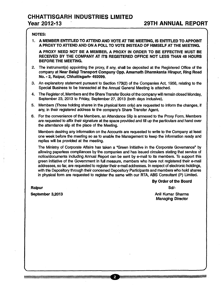#### NOTES:

1. A MEMBER ENTITLED TO ATTEND AND VOTE AT TIIE MEETING, IS ENTITLED TO APPOINT A PROXY TO ATTEND AND ON A POLL TO VOTE INSTEAD OF HIMSELF AT THE MEETING.

A PROXY NEED NOT BE A MEMBER. A PROXY IN ORDER TO BE EFFECTIVE MUST BE RECEIVED BY THE COMPANY AT ITS REGISTERED OFFICE NOT LESS THAN 48 HOURS BEFORE THE MEETING.

- 2. The instrument(s) appointing the proxy, if any, shall be deposited at the Registered Office of the company at Near Balaji Transport Company 0pp. Amarnath Dharmkanta Hirapur, Ring Road No. - 2, Raipur, Chhattisgarh- 492099.
- 3. An explanatory statement pursuant to Section 173(2) of the Companies Act, 1956, relating to the Special Business to be transacted at the Annual General Meeting is attached.
- 4. The Register of. Members and the Share Transfer Books of the company will remain closed Monday, September 23, 2013 to Friday, September 27, 2013 (both days inclusive).
- 5. Members (Those holding shares in the physical form only) are requested to inform the changes, if any, in their registered address to the company's Share Transfer Agent.
- 6. For the convenience of the Members, an Attendance Slip is annexed to the Proxy Form. Members are requested to *affix* their signature at the space provided and *fill up* the particulars *and* hand over the attendance slip at the place of the Meeting.

Members desiring any information on the Accounts are requested to write to the Company at least one week before the meeting so as to enable the Management to keep the information ready and replies will be provided at the meeting.

The Ministry of Corporate Affairs has taken a "Green Initiative in the Corporate Governance" by allowing paperless compliances by the companies and has issued circulars stating that service of notice/documents including Annual Report can be sent by e-mail to its members. To support this green initiative of the Government in full measure, members who have not registered their e-mail addresses, so far, are requested to register their e-mail addresses. In respect of electronic holdings, with the Depository through their concerned Depository Participants and members who hold shares in physical form are requested to register the same with our RTA, ABS Consultant (P) Limited.

By Order of the Board

Raipur Sd<sup>i</sup>-Charles and School and School and School and School and School and School and School and School and

September 3,2013 **Anil Kumar Sharma** Anil Kumar Sharma Anil Kumar Sharma Anil Kumar Sharma Anil Kumar Sharma Ani Managing Director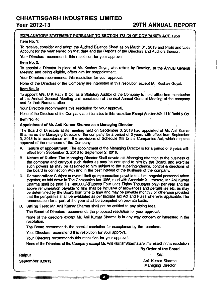## CHHATTISGARH INDUSTRIES LIMITED Year 2012-13\_\_\_\_\_\_\_\_\_\_\_\_\_\_\_\_\_\_\_\_\_\_\_\_\_\_\_\_\_\_\_\_\_\_\_ 2 9 TH A N N U A L R E P O R T

#### EXPLANATORY\_STATEMENT PURSUANT TO SECTION 173 (2) OF COMPANIES ACT. 1956 **item No. 1:**

To receive, consider and adopt the Audited Balance Sheet as on March 31, 2013 and Profit and Loss Account for the year ended on that date and the Reports of the Directors and Auditors thereon.

Your Directors recommends this resolution for your approval.

#### **item No. 2:**

To appoint a Director in place of Mr. Keshav Goyal, who retires by Rotation, at the Annual General Meeting and being eligible, offers him for reappointment.

Your Directors recommends this resolution for your approval.

None of the Directors of the Company are interested in this resolution except Mr. Keshav Goyal.

#### **Itgm Np. a;**

To appoint M/s. U K Rathi & Co. as a Statutory Auditor of the Company to hold office from conclusion of this Annual General Meeting until conclusion of the next Annual General Meeting of the company and fix their Remuneration

Your Directors recommends this resolution for your approval.

None of the Directors of the Company are interested in this resolution Except Auditor M/s. U K Rathi & Co.

#### **Item No. 4:** The second second second second second second second second second second second second second second

#### Appointment of Mr. Anil Kumar Sharma as a Managing Director i

The Board of Directors at its meeting held on September 3, 2013 had appointed of Mr. Anil Kumar Sharma as the Managing Director of the company for a period of 3 years with effect from September 3, 2013 is in accordance with the provisions of Schedule XIII to the Companies Act, which requires approval of the members of the Company.

- A. Tenure of appointment: The appointment of the Managing Director is for a period of 3 years with effect from September 3, 2013 to September 2, 2016.
- B. Nature of Duties: The Managing Director Shall devote his Managing attention to the business of the company and carryout such duties as may be entrusted to him by the Board, and exercise such powers as may be assigned to him subject to the superintendence, control & directions of the board in connection with and in the best interest of the business of the company.
- C. Remuneration: Subject to overall limit on remuneration payable to all managerial personnel taken together, as laid down in The Companies Act 1956, read with Schedule XIII thereto, Mr. Anil Kumar Sharma shall be paid Rs. 480,000/-(Rupees Four Lacs Eighty Thousand only) per year and the above remuneration payable to him shall be inclusive of allowances and perquisites etc. as may be determined by the Board from time to time and may be payable monthly or otherwise provided that the perquisites shall be evaluated as per Income Tax Act and Rules wherever applicable. The remuneration for a part of the year shall be computed on pro-rata basis.

#### D. Sitting Fees: Mr. Anil Kumar Sharma shall not be entitied to any sitting fees.

The Board of Directors recommends the proposed resolution for your approval.

None of the directors except Mr. Anil Kumar Sharma is in any way concern or interested in the resolution.

The Board recommends the special resolution for acceptance by the members.

Your Directors recommend this resolution for your approval.

Your Directors recommends this resolution for your approval.

None of the Directors of the Company except Mr. Anil Kumar Sharma are interested in this resolution

Raipur Sd/- Santa Communication and the Solid Communication and School School School School School School School

September 3,2013 Anil Kumar Sharma Anil Kumar Sharma Anil Kumar Sharma Anil Kumar Sharma

Managing Director

By Order of the Board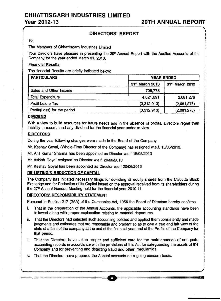### Year 2012-13

## **29TH ANNUAL REPORT**

### DIRECTORS' REPORT

#### **To,**

**The Members of Chhattisgarh Industries Limited**

Your Directors have pleasure in presenting the 29<sup>th</sup> Annual Report with the Audited Accounts of the **Company for the year ended March 31, 2013.**

#### Financial Results

**The financial Results are briefly indicated below:**

| <b>PARTICULARS</b>           | <b>YEAR ENDED</b>           |                 |  |
|------------------------------|-----------------------------|-----------------|--|
|                              | 31 <sup>st</sup> March 2013 | 31st March 2012 |  |
| Sales and Other Income       | 708,778                     |                 |  |
| <b>Total Expenditure</b>     | 4,021,691                   | 2,081,276       |  |
| Profit before Tax            | (3,312,913)                 | (2,081,276)     |  |
| Profit/(Loss) for the period | (3,312,913)                 | (2,081,276)     |  |

#### **DIVIDEND**

**With a view to build resources for future needs and in the absence of profits. Directors regret their inability to recommend any dividend for the financial year under re view.**

#### **DIRECTORS**

**During the year following changes were made in the Board of the Company**

**Mr. Keshav Goyal, (Whole-Time Director of the Company) has resigned w.e.f. 15/05/2013.**

**Mr. Anil Kumar Sharma has been appointed as Director w.e.f 15/05/2013**

**Mr. Ashish Goyal resigned as Director w.e.f. 20/06/2013**

**Mr. Keshav Goyal has been appointed as Director w.e.f 20/06/2013**

#### **DE-LISTING & REDUCTION OF CAPITAL**

**The Company has initiated necessary filings for de-listing its equity shares from the Calcutta Stock Exchange and for Reduction of its Capital based on the approval received from its shareholders during the 27\*' Annual General Meeting held for the financial year 2010-11.**

#### DIRECTORS' RESPONSIBILITY STATEMENT

**Pursuant to Section 217 (2AA) of the Companies Act, 1956 the Board of Directors hereby confirms:**

- **i. That in the preparation of the Annual Accounts, the applicable accounting standards have been followed along with proper explanation reiating to material departures.**
- **ii. That the Directors had selected such accounting policies and applied them consistently and made judgments and estimates that are reasonable and prudent so as to give a true and fair view of the state of affairs of the company at the end of the financial year and of the Profits of the Company for that period.**
- **iii. That the Directors have taken proper and sufficient care for the maintenances of adequate accounting records in accordance with the provisions of this Act for safeguarding the assets of the Company and for preventing and detecting fraud and other irregularities.**
- **iv. That the Directors have prepared the Annual accounts on a going concern basis.**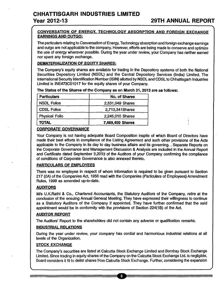#### **CONVERSATION OF ENERGY, TECHNOLOGY ABSORPTION AND FOREIGN EXCHANGE EARNINGS AND OUTGO:**

**The particulars relating to Conversation of Energy, Technology absorption and foreign exchange earnings and outgo are not applicable to the company. However, efforts are being made to conserve and optimize the use of energy wherever possible. During the year under review, your Company has neither earned nor spent any foreign exchange.**

#### DEMATERIALIZATION OF EQUITY SHARES:

**The Company's equity shares are available for trading in the Depository systems of both the National Securities Depository Limited (NSDL) and the Central Depository Services (India) Limited. The International Security Identification Number (ISIN) allotted by NSDL and CDSL to Chhattisgarh Industries Limited is INE473C01017 for the equity shares of your Company.**

**The Status of the Shares of the Company as on March 31,2013 are as follows:**

| <b>Particulars</b>    | No. of Shares    |
|-----------------------|------------------|
| <b>NSDL Folios</b>    | 2,531,049 Shares |
| <b>CDSL Folios</b>    | 2.713,341Shares  |
| <b>Physical Folio</b> | 2,245,010 Shares |
| TOTAL                 | 7,489,400 Shares |

#### CORPORATE GOVERNANCE

**Your Company is not having adequate Board Composition inspite of which Board of Directors have made their best efforts in compliance of the Listing Agreement and such other provisions of the Acts applicable to the Company in its day to day business affairs and its governing.. Separate Reports on the Corporate Governance and Management Discussion & Analysis are included in the Annual Report and Certificate dated September 3,2013 of the Auditors of your Company confirming the compliance of conditions of Corporate Governance is also annexed thereto.**

#### PARTICULARS OF EMPLOYEES

**There was no employee in respect of whom information is required to be given pursuant to Section 217 (2A) of the Companies Act, 1956 read with the Companies (Particulars of Employees) Amendment Rules, 1999 as amended up-to-date.**

#### **AUDITORS**

**M/s U.K.Rathi & Co., Chartered Accountants, the Statutory Auditors of the Company, retire at the conclusion of the ensuing Annual Genera! Meeting. They have expressed their willingness to continue as a Statutory Auditors of the Company if appointed. They have further confirmed that the said** appointment would be in conformity with the provisions of Section 224(1B) of the Act.

#### **AUDITOR REPORT**

**The Auditors' Report to the shareholders did not contain any adverse or qualification remarks.**

#### **INDUSTRIAL RELATIONS**

**During the year under review, your company has cordial and harmonious industrial relations at all levels of the Organization.**

#### **STOCK EXCHANGE**

**The Company's securities are listed at Calcutta Stock Exchange Limited and Bombay Stock Exchange Limited. Since trading in equity shares of the Company on the Calcutta Stock Exchange Ltd. is negligible. Board considers it fit to delist shares from Calcutta Stock Exchange. Further, considering the expansion**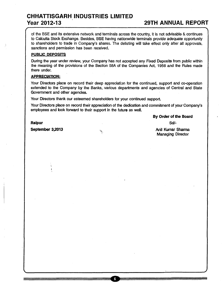## **29TH ANNUAL REPORT**

**of the BSE and its extensive network and terminals across the country, it is not advisable & continues to Calcutta Stock Exchange. Besides, BSE having nationwide terminals provide adequate opportunity to shareholders to trade in Company's shares. The delisting will take effect only after all approvals, sanctions and permission has been received.**

#### **PUBLIC DEPOSITS**

**During the year under review, your Company has not accepted any Fixed Deposits from public within the meaning of the provisions of the Section 58A of the Companies Act, 1956 and the Rules made there under.**

#### **APPRECIATION;**

**Your Directors place on record their deep appreciation for the continued, support and co-operation extended to the Company by the Banks, various departments and agencies of Central and State Government and other agencies.**

**Your Directors thank our esteemed shareholders for your continued support.**

**Your Directors place on record their appreciation of the dedication and commitment of your Company's employees and look forward to their support in the future as well.**

6

**By Order of the Board**

**Raipur Sd'-** Salaman Sullaway School State State State State State State State State State State State State State State State State State State State State State State State State State State State State State State Stat

**September 3,2013** Anil Kumar Sharma Anil Kumar Sharma Anil Kumar Sharma Anil Kumar Sharma Anil Kumar Sharma Anil Kumar Sharma Anil Kumar Sharma Anil Kumar Sharma Anil Kumar Sharma Anil Kumar Sharma Anil Kumar Sharma Anil **Managing Director**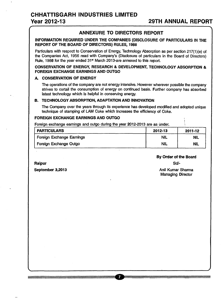### Year 2012-13

### ANNEXURE TO DIRECTORS REPORT

#### **INFORMATION REQUIRED UNDER THE COMPANIES (DISCLOSURE OF PARTICULARS IN THE REPORT OF THE BOARD OF DIRECTORS) RULES, 1988**

**Particulars with respect to Conservation of Energy, Technology Absorption as per section 217(1)(e) of the Companies Act, 1956 read with Company's (Disclosure of particulars in the Board of Directors) Rule, 1988 for the year ended 31" March 2013-are annexed to this report.**

#### **CONSERVATION OF ENERGY, RESEARCH & DEVELOPMENT, TECHNOLOGY ABSORPTION & FOREIGN EXCHANGE EARNINGS AND OUTGO**

#### **A CONSERVATION OF ENERGY**

**The operations of the company are not energy intensive. However wherever possible the company strives to curtail the consumption of energy on continued basis. Further company has absorbed latest technology which is helpful in conserving energy.**

#### **B. TECHNOLOGY ABSORPTION, ADAPTATION AND INNOVATION**

**The Company over the years through its experience has developed modified and adopted unique technique of stamping of LAM Coke which increases the efficiency of Coke.**

#### **FOREIGN EXCHANGE EARNINGS AND OUTGO <sup>f</sup>**

**Foreign exchange earnings and outgo during the year 2012-2013 are as under.**

| <b>PARTICULARS</b>        | 2012-13    | 2011-12    |
|---------------------------|------------|------------|
| Foreign Exchange Earnings | NIL        | <b>NIL</b> |
| Foreign Exchange Outgo    | <b>NIL</b> | <b>NIL</b> |

### **By Order of the Board**

**Sd/-**

**September 3,2013**

**Raipur**

**Anil Kumar Sharma Managing Director**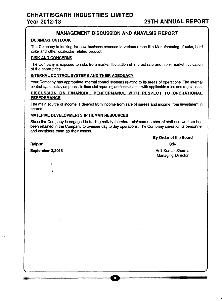### Year 2012-13

### MANAGEMENT DISCUSSION AND ANAYLSIS REPORT

#### BUSINESS OUTLOOK

**The Company is looking for new business avenues in various areas like Manufacturing of coke, hard coke and other coal/coke related product.**

#### RISK AND CONCERNS

**The Company is exposed to risks from market fluctuation of interest rate and stock market fluctuation ot the share price.**

#### **INTERNAL CONTROL SYSTEMS AND THEIR ADEQUACY**

**Your Company has appropriate internal control systems relating to its areas of operations. The internal control systems lay emphasis in financial reporting and compliance with applicable rules and regulations.**

#### DISCUSSION ON FINANCIAL PERFORMANCE WITH RESPECT TO OPERATIONAL **PERFORMANCE**

**The main source of income is derived from income from sale of sarees and income from investment in shares.**

#### MATERIAL DEVELOPMENTS IN HUMAN RESOURCES

**Since the Company is engaged in trading activity therefore minimum number of staff and workers has been retained in the Company to oversee day to day operations. The Company cares for its personnel and considers them as their assets.**

#### By Order of the Board

Raipur Sd/- Solid Communication of the Solid Communication of the Solid Communication of the Solid Communication

#### **September 3,2013** Anil Kumar Sharma Anil Kumar Sharma Anil Kumar Sharma Anil Kumar Sharma Anil Kumar Sharma Ani

**Managing Director**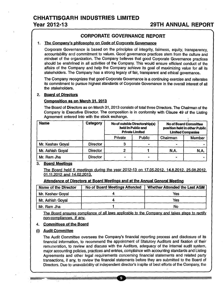**Year 2012-13** 

## **29TH ANNUAL REPORT**

### CORPORATE GOVERNANCE REPORT

#### <sup>1</sup> **. The Company's philosophy on Code of Corporate Governance**

**Corporate Governance is based on the principles of integrity, fairness, equity, transparency, accountability and commitment to values. Good governance practices stem from the culture and mindset of the organization. The Company believes that good Corporate Governance practices should be enshrined in all activities of the Company. This would ensure efficient conduct of the affairs of the Company and help the Company achieve its goal of maximizing value for all its stakeholders. The Company has a strong legacy of fair, transparent and ethical governance.**

**The Company recognizes that good Corporate Governance is a continuing exercise and reiterates its commitment to pursue highest standards of Corporate Governance in the overall interest of all the stakeholders.**

#### 2. **Board of Directors**

#### Composition as on March 31, 2013

**The Board of Directors as on March 31,2013 consists of total three Directors. The Chairman of the Company is Executive Director. The composition is in conformity with Clause 49 of the Listing Agreement entered into with the stock exchange.**

| <b>Name</b>      | Category        | No of outside Directorship(s)<br>held in Public and<br><b>Private Limited</b> |        |             | <b>No of Board Committee</b><br>position held in other Public<br><b>Limited Companies</b> |
|------------------|-----------------|-------------------------------------------------------------------------------|--------|-------------|-------------------------------------------------------------------------------------------|
|                  |                 | Private                                                                       | Public | Chairman    | Member                                                                                    |
| Mr. Keshav Goyal | <b>Director</b> | З                                                                             |        |             |                                                                                           |
| Mr. Ashish Goyal | <b>Director</b> | 2                                                                             |        | <b>N.A.</b> | N.A.                                                                                      |
| Mr. Ram Jha      | <b>Director</b> |                                                                               |        |             |                                                                                           |

#### **3. Board Meetings**

**The Board held 5 meetings during the year 2012-13 on 17.05.2012. 14,8.2012. 25.08.2012.** 01.11.2012 and 14.02.2013.

#### **Attendance of Directors at Board Meetings and at the Annual General Meeting**

| Name of the Director | No of Board Meetings Attended | Whether Attended the Last AGM |  |
|----------------------|-------------------------------|-------------------------------|--|
| Mr. Keshav Goyal     |                               | Yes                           |  |
| Mr. Ashish Goyal     |                               | Yes                           |  |
| Mr. Ram Jha          |                               | No                            |  |

**The Board ensures compliance of all laws applicable to the Company and takes steps to rectify pon-gpmpiiances. jf.any.**

#### **4. Committees of the Board**

#### **(i) Audit Committee**

**The Audit Committee oversees the Company's financial reporting process and disclosure of its financial information, to recommend the appointment of Statutory Auditors and fixation of their remuneration, to review and discuss with the Auditors, adequacy of the internal audit system, major accounting policies, practices and entries, compliance with accounting standards and Listing Agreements and other legal requirements concerning financial statements and related party transactions, if any, to review the financial statements before they are submitted to the Board of Directors. Due to unavailability of independent director's inspite of best efforts of the Company, the**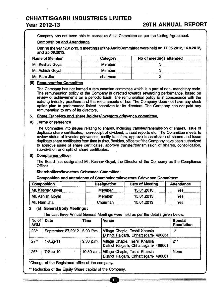### **Year 2012-13**

Company has not been able to constitute Audit Committee as per the Listing Agreement.

#### Composition and Attendance

During the year 2012-13, 3 meetings of the Audit Committee were held on 17.05.2012, 14.8.2012, and 25.08.2012,

| Name of Member     | Category | No of meetings attended |
|--------------------|----------|-------------------------|
| , Mr. Keshav Goyal | Member   |                         |
| Mr. Ashish Goyal   | Member   |                         |
| Mr. Ram Jha        | chairman |                         |

### (II) Remuneration Committee

The Company has not formed a remuneration committee which is a part of non- mandatory code. The remuneration policy of the Company is directed towards rewarding performance, based on review of achievements on a periodic basis. The remuneration policy is in consonance with the existing industry practices and the requirements of law. The Company does not have any stock option plan to performance linked incentives for its directors. The Company has not paid any remuneration to any of its directors.

#### 5. Share Transfers and share holders/investors grievance committee.

#### A) Terms of reference

The Committee into issues relating to shares, including transfer/transmission of shares, issue of duplicate share certificates, non-receipt of dividend, annual reports etc. The Committee meets to review status of investor grievances, rectify transfers, approve transmission of shares and issue duplicate share certificates from time to time. Besides, officers of the Company have been authorized to approve issue of share certificates, approve transfer/transmission of shares, consolidation, sub-division and split of share certificates.

#### B) Compliance officer

The Board has designated Mr. Keshav Goyal, the Director of the Company as the Compliance Officer ;

Shareholders/Investors Grievance Committee: **<sup>&</sup>gt;**

#### Composition and attendance of Shareholders/Investors Grievance Committee:

| <b>Composition</b> | <b>Designation</b> | Date of Meeting | <b>Attendance</b> |
|--------------------|--------------------|-----------------|-------------------|
| Mr. Keshav Goyal   | Member             | 15.01.2013      | Yes               |
| Mr. Ashish Goyal   | <b>Member</b>      | 15.01.2013      | Yes               |
| Mr. Ram Jha        | Chairman           | 15.01.2013      | Yes               |

#### 2 (a) General Body Meetings:

The Last three Annual General Meetings were held as per the details given below:

| No of<br><b>AGM</b> | <b>Date</b>                 | Time | <b>Venue</b>                                                                         | <b>Special</b><br><b>Resolution</b> |
|---------------------|-----------------------------|------|--------------------------------------------------------------------------------------|-------------------------------------|
| <b>28th</b>         | September 27,2012 5.00 P.m. |      | Village Chaple, Teshil Kharsia<br>District Raigarh, Chhattisgarh- 496661             |                                     |
| 27 <sup>th</sup>    | $1-Auq-11$                  |      | 3:30 p.m.   Village Chaple, Teshil Kharsia<br>District Raigarh, Chhattisgarh- 496661 | $2**$                               |
| 26 <sup>th</sup>    | $7-Sep-10$                  |      | 10:30 a.m. Village Chaple, Teshil Kharsia<br>District Raigarh, Chhattisgarh- 496661  | None                                |

' Change of the Registered office of the company.

\*\* Reduction of the Equity Share capital of the Company.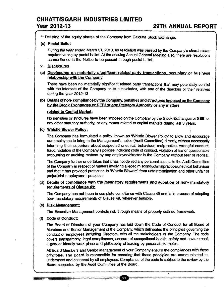**\*\* Delisting of the equity shares of the Company from Calcutta Stock Exchange.**

#### **(c) Postal Baliot**

*During the year ended* **March 31,2013, no** *resolution was* **passed by** *the Company's shareholders* **required voting by postal ballot. At the ensuing Annual General Meeting also, there are resolutions as mentioned in the Notice to be passed through postal ballot.**

#### **2. Disclosures**

(a) Disclosures on materially significant related party transactions, pecuniary or business **relationship with the Company** 

**There have been no materially significant related party transactions that may potentially conflict with the interests of the Company or its subsidiaries, with any of the directors or their relatives during the year 2012-13**

#### **(b) Details of non- compliance bv the Coropanv. penalties and structures fmoosed on the Company bv the Stock Exchanges or SEBI or any Statutory Authority or any matters**

#### related to Capital Market:

**No penalties or strictures have been imposed on the Company by the Stock Exchanges or SEBI or any other statutory authority, or any matter related to capital markets during last 3 years.**

#### **(c) Whistle Blower Policy:**

The Company has formulated a policy known as 'Whistle Blower Policy' to allow and encourage **our employees to bring to the Management's notice (Audit Committee) directly, without necessarily informing their superiors about suspected unethical behaviour, malpractice, wrongful conduct,** fraud, violation of the Company's policies including code of conduct, violation of law or questionable **accounting or auditing matters by any employee/director in the Company without fear of reprisal.**

**The Company further undertakes that it has not denied any personal access to the Audit Committee of the Company in respect of matters involving alleged misconduct/malpractice/unethical behaviour and that it has provided protection to 'Whistle Blowers' from unfair termination and other unfair or prejudicial employment practices**

#### **(d) Details of compliance with the mandatory requirements and adoption of non- mandatory requirements of Clause 49:**

**The Company has not been in complete compliance with Clause 49 and is in process of adopting non- mandatory requirements of Clause 49, wherever feasible.**

#### **(e) Risk Management:**

**The Executive Management controls risk through means of property defined framework.**

#### (f) Code of Conduct:

and a committed provider of the committee of the committee of the committee

**The Board of Directors of your Company has laid down the Code of Conduct for all Board of Members and Senior Msinagement of the Company, which delineates the principles governing the conduct of employees including Directors, with all the stakeholders of the Company. The code** covers transparency, legal compliances, concern of occupational health, safety and environment, **a gender friendly work place and philosophy of leading by personal examples.**

**All Board Members and Senior Management of your Company ensure the compliances with these principles. The Board is responsible for ensuring that these principles are communicated to, understood and observed by all employees. Compliance of the code is subject to the review by the Board supported by the Audit Committee of the Board.**

...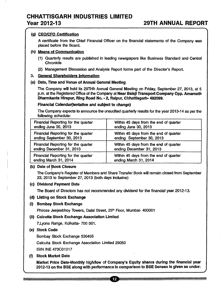**Year 2012-13** 

#### (g) CEO/CFO Certification

**A certificate from the Chief Financial Officer on the financial statements of the Company was placed before the Board.**

#### **(h) Means of Communication**

- **(1) Quarterly results are published in leading newspapers like Business Standard and Central Chronicle**
- **(2) Management Discussion and Analysis Report forms part of the Director's Report**

#### **3. General Shareholders Information**

#### **(a) Date, Time and Venue of Annual General Meeting**

**The Company will hold its 29THh Annual General Meeting on Friday, September 27, 2013, at 5 p.m. at the Registered Office of the Company at Near Balaji Transport Company 0pp. Amarnath Dharmkanta Hirapur, Ring Road No. - 2, Raipur, Chhattisgarh- 492099.**

#### **Financial Calendar(tentative and subject to change)**

**The Company expects to announce the unaudited quarterly results for the year 2013-14 as per the following schedule:**

| Financial Reporting for the quarter | Within 45 days from the end of quarter |
|-------------------------------------|----------------------------------------|
| ending June 30, 2013                | ending June 30, 2013                   |
| Financial Reporting for the quarter | Within 45 days from the end of quarter |
| ending September 30, 2013           | ending September 30, 2013              |
| Financial Reporting for the quarter | Within 45 days from the end of quarter |
| ending December 31, 2013            | ending December 31, 2013               |
| Financial Reporting for the quarter | Within 45 days from the end of quarter |
| ending March 31, 2014               | ending March 31, 2014                  |

#### **(b) Date of pook Closure**

**The Corripany's Register of Members and Share Transfer Book will remain closed from September 23, 2013 to September 27, 2013 (both days inclusive)**

#### **(c) Dividend Payment Date**

**The Board of Directors has not recommended any dividend for the financial year 2012-13.**

#### **(d) Listing on Stock Exchange**

#### **(I) Bombay Stock Exchange**

**Phiroze Jeejeebhoy Towers, Dalai Street, 25\*" Floor, Mumbai- 400001**

#### **(ii) Calcutta Stock Exchange Association Limited**

**7,Lyons Range, Kolkatta- 700 001.**

#### **(e) Stock Code**

**Bombay Stock Exchange 530495**

**Calcutta Stock Exchange Association Limited 28050**

**ISIN INE473C01017**

#### **(f) Stock Market Date**

**Market Price Date-Monthly high/low of Company's Equity shares during the financial year 2012-13 on the BSE along with performance in comparison to BSE Sensex is given as under:**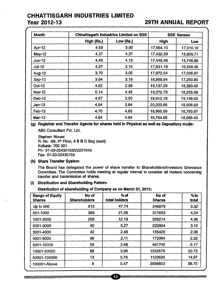### **Year 2012-13**

## **29TH ANNUAL REPORT**

| Month         | <b>Chhattisgarh Industries Limited on BSE</b> | <b>BSE Sensex</b> |           |           |
|---------------|-----------------------------------------------|-------------------|-----------|-----------|
|               | High (Rs.)                                    | Low (Rs.)         | High      | Low       |
| Apr-12        | 4.59                                          | 3.90              | 17,664.10 | 17,010.16 |
| $May-12$      | 4.37                                          | 4.37              | 17,432.33 | 15,809.71 |
| $Jun-12$      | 4.49                                          | 4.19              | 17,448.48 | 15,748.98 |
| <b>Jul-12</b> | 4.37                                          | 3.10              | 17,631.19 | 16,598.48 |
| Aug-12        | 3.70                                          | 3.05              | 17,972.54 | 17,026.97 |
| Sep-12        | 3.64                                          | 3.18              | 18,869.94 | 17,250.80 |
| Oct-12        | 4.62                                          | 2.98              | 19,137.29 | 18,393.42 |
| <b>Nov-12</b> | 5.14                                          | 4.45              | 19,372.70 | 18,255.69 |
| <b>Dec-12</b> | 4.67                                          | 3.50              | 19,612.18 | 19,149.03 |
| $Jan-13$      | 4.94                                          | 3.84              | 20,203.66 | 19,508.93 |
| $Feb-13$      | 4.70                                          | 4.65              | 19,966.69 | 18,793.97 |
| <b>Mar-13</b> | 4.64                                          | 4.64              | 19,754.66 | 18,568.43 |

**(g) Registrar and Transfer Agents for shares held In Physical as well as Depository mode:**

**ABS Consultant Pvt. Ltd.**

**Stephen House R. No. -99, S'" Floor, 4 B B D Bag (east) Kolkata- 700 001 Ph- 91-33-22430153/22201043 Fax- 91-33-22430153**

#### **(h) Share Transfer System**

**The Board has delegated the power of share transfer to Shareholders/Investors Grievance Committee. The Committee holds meeting at regular interval to consider all matters concerning transfer and transmission of shares.**

#### **(i) Distribution and Shareholding Pattern**

**Distribution of shareholding of Company as on March 31,2013:**

| Range of Equity<br><b>Shares</b> | No of<br><b>Shareholders</b> | % of<br>total holders | No of<br><b>Shares</b> | $%$ to<br>total |
|----------------------------------|------------------------------|-----------------------|------------------------|-----------------|
| Up to 500                        | 815                          | 47.74                 | 248879                 | 3.32            |
| 501-1000                         | 368                          | 21.56                 | 317853                 | 4.24            |
| 1001-2000                        | 208                          | 12.19                 | 326214                 | 4.36            |
| 2001-3000                        | 90                           | 5.27                  | 233904                 | 3.12            |
| 3001-4000                        | 42                           | 2.46                  | 155420                 | 2.08            |
| 4001-5000                        | 36                           | 2.11                  | 173384                 | 2.32            |
| 5001-10000                       | 59                           | 3.46                  | 461745                 | 6.17            |
| 10001-50000                      | 68                           | 3.98                  | 1552578                | 20.73           |
| 50001-100000                     | 13                           | 0.76                  | 1120820                | 14.97           |
| 100001-Above                     | 8                            | 0.47                  | 2898603                | 38.70           |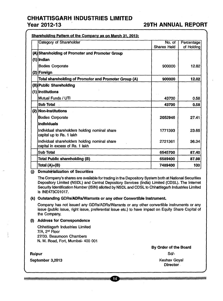## Year 2012-13

# 29TH ANNUAL REPORT

|          | Shareholding Pattern of the Company as on March 31, 2013;                                                                                                                                                                                                                                                                       |                              |                          |
|----------|---------------------------------------------------------------------------------------------------------------------------------------------------------------------------------------------------------------------------------------------------------------------------------------------------------------------------------|------------------------------|--------------------------|
|          | Category of Shareholder                                                                                                                                                                                                                                                                                                         | No. of<br><b>Shares Held</b> | Percentage<br>of Holding |
|          | (A) Shareholding of Promoter and Promoter Group                                                                                                                                                                                                                                                                                 |                              |                          |
|          | $(1)$  Indian                                                                                                                                                                                                                                                                                                                   |                              |                          |
|          | Bodies Corporate                                                                                                                                                                                                                                                                                                                | 900000                       | 12.02                    |
|          | (2) Foreign                                                                                                                                                                                                                                                                                                                     |                              |                          |
|          | Total shareholding of Promoter and Promoter Group (A)                                                                                                                                                                                                                                                                           | 900000                       | 12.02                    |
|          | (B) Public Shareholding                                                                                                                                                                                                                                                                                                         |                              |                          |
|          | $(1)$ Institutions                                                                                                                                                                                                                                                                                                              |                              |                          |
|          | Mutual Funds / UTI                                                                                                                                                                                                                                                                                                              | 43700                        | 0.58                     |
|          | <b>Sub Total</b>                                                                                                                                                                                                                                                                                                                | 43700                        | 0.58                     |
|          | (2) Non-Institutions                                                                                                                                                                                                                                                                                                            |                              |                          |
|          | <b>Bodies Corporate</b>                                                                                                                                                                                                                                                                                                         | 2052946                      | 27.41                    |
|          | <b>Individuals</b>                                                                                                                                                                                                                                                                                                              |                              |                          |
|          | Individual shareholders holding nominal share<br>capital up to Rs. 1 lakh                                                                                                                                                                                                                                                       | 1771393                      | 23.65                    |
|          | individual shareholders holding nominal share<br>capital in excess of Rs. 1 lakh                                                                                                                                                                                                                                                | 2721361                      | 36.34                    |
|          | <b>Sub Total</b>                                                                                                                                                                                                                                                                                                                | 6545700                      | 87.40                    |
|          | <b>Total Public shareholding (B)</b>                                                                                                                                                                                                                                                                                            | 6589400                      | 87.98                    |
|          | Total (A)+(B)                                                                                                                                                                                                                                                                                                                   | 7489400                      | 100                      |
| $\omega$ | <b>Dematerialization of Securities</b>                                                                                                                                                                                                                                                                                          |                              |                          |
|          | The Company's shares are available for trading in the Depository System both at National Securities<br>Depository Limited (NSDL) and Central Depository Services (India) Limited (CDSL). The Internet<br>Security Identification Number (ISIN) allotted by NSDL and CDSL to Chhattisgarh Industries Limited<br>is INE473C01017. |                              |                          |
|          | (k) Outstanding GDRs/ADRs/Warrants or any other Convertible Instrument.                                                                                                                                                                                                                                                         |                              |                          |
|          | Company has not issued any GDRs/ADRs/Warrants or any other convertible instruments or any<br>issue (public issue, right issue, preferential issue etc.) to have impact on Equity Share Capital of<br>the Company.                                                                                                               |                              |                          |
|          | (I) Address for Correspondence                                                                                                                                                                                                                                                                                                  |                              |                          |
|          | Chhattisgarh Industries Limited                                                                                                                                                                                                                                                                                                 |                              |                          |

14

**7/A, 2"\* Floor 27/33. Beaumoon Chambers N. M. Road, Fort, Mumbai- 400 001**

**Raipur Sd/-**

**By Order of the Board**

**Director**

**September 3,2013 Keshav Goyal**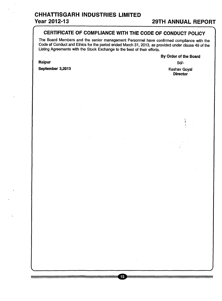## **29TH ANNUAL REPORT**

## CERTIFICATE OF COMPLIANCE WITH THE CODE OF CONDUCT POLICY

**The Board Members and the senior management Personnel have confirmed compliance with the Code of Conduct and Ethics for the period ended March 31, 2013, as provided under clause 49 of the Listing Agreements with the Stock Exchange to the best of their efforts.**

**By Order of the Board**

**Raipur Sd/-**

**September 3,2013** Keshav Goyal

**Director**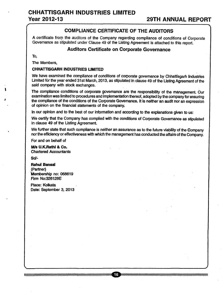### COMPLIANCE CERTIFICATE OF THE AUDITORS

A certificate from the auditors of the Company regarding compliance of conditions of Corporate **Governance as stipulated under Clause 49 of the Listing Agreement is attached to this report.**

### Auditors Certificate on Corporate Governance

**To.**

**The Members.**

#### **CHHATTISGARH INDUSTRIES UMITED**

**We have examined the compliance of conditions** *of corporate governance by* **Chhattisgarh Industries Limited for the year ended 31st March, 2013, as stipulated in clause 49 of the Listing Agreement of the said company with stock exchanges.**

**The compliance conditions of corporate governance are the responsibility of the management. Cur examination was limited to procedures and implementation thereof, adopted by the company for ensuring the compliance of the conditions of the Corporate Governance. It is neither an audit nor an expression of opinion on the financial statements of the company.**

**In our opinion and to the best of our information and according to the explanations given to us:**

**We certify that the Company has complied with the conditions of Corporate Governance as stipulated in clause 49 of the Listing Agreement.**

**We further state that such compliance is neither an assurance as to the future viability of the Company nor the efficiency or effectiveness with which the management has conducted the affairs of the Company.**

**For and on behalf of**

**M/s U.K.Rathl & Co. Chartered Accountants**

**Sd/-**

#### **Rahul Bansal (Partner) Membership no: 068619** *Firm* **NO.-326128E**

**Place: Kolkata Date: September 3, 2013**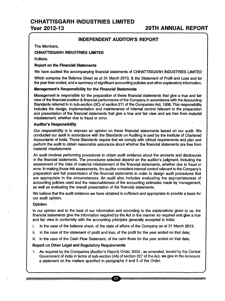### Year 2012-13

## **29TH ANNUAL REPORT**

#### INDEPENDENT AUDITOR'S REPORT

#### **The Members,**

#### **CHHATTISGARH INDUSTRIES LIMITED**

**Kolkata.**

#### **Report on the Financial Statements**

**We have audited the accompanying financial statements of CHHATTISGARH INDUSTRIES LIMITED**

**Which comprise the Balance Sheet as at 31 March 2013, & the Statement of Profit and Loss and for the year then ended, and a summary of significant accounting policies and other explanatory information.**

#### **Management's Responsibility for the Financial Statements**

**Management is responsible for the preparation of these financial statements that give a true and fair view of the financial position & financial performance of the Company in accordance with the Accounting Standards referred to in sub-section (3C) of section 211 of the Companies Act, 1956. This responsibility includes the design, implementation and maintenance of internal control relevant to the preparation and presentation of the financial statements that give a true and fair view and are free from material misstatement, whether due to fraud or error.**

#### **Auditor's Responsibility**

**Cur responsibility is to express an opinion on these financial statements based on our audit. We conducted our audit in accordance with the Standards on Auditing issued by the Institute of Chartered Accountants of India. Those Standards require that we comply with ethical requirements and plan and perform the audit to obtain reasonable assurance about whether the financial statements are free from material misstatement.**

**An audit involves performing procedures to obtain audit evidence about the amounts and disclosures in the financial statements. The procedures selected depend on the auditor's judgment, including the assessment of the risks of material misstatement of the financial statements, whether due to fraud or error. In making those risk assessments, the auditor considers internal control relevant to the Company's preparation and fair presentation of the financial statements in order to design audit procedures that are appropriate in the circumstances. An audit also includes evaluating the appropriateness of accounting policies used and the reasonableness of the accounting estimates made by management, as well as evaluating the overall presentation of the financial statements.**

**We believe that the audit evidence we have obtained is sufficient and appropriate to provide a basis for our audit opinion.**

#### **Opinion**

**In our opinion and to the best of our information and according to the explanations given to us, the financial statements give the information required by the Act in the manner so required and give a true and fair view in conformity with the accounting principles generally accepted in India:**

- **i. in the case of the balance sheet, of the state of affairs of the Company as at 31 March 2013;**
- **ii. in the case of the statement of profit and loss, of the profit for the year ended on that date;**

**iii. in the case of the Cash Row Statement, of the cash flows for the year ended on that date;**

#### **Report on Other Legal and Regulatory Requirements**

**1, As required by the Companies (Auditor's Report) Order, 2003, as amended, issued by the Central Government of India in terms of sub-section (4A) of section 227 of the Act, we give in the Annexure a statement on the matters specified in paragraphs 4 and 5 of the Order.**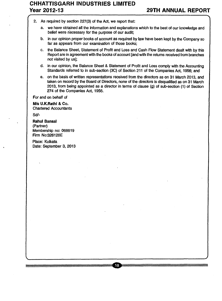**2. As required by section 227(3) of the Act, we report that:**

- **a. we have obtained all the information and explanations which to the best of our knowledge and belief were necessary for the purpose of our audit;**
- **b. in our opinion proper books of account as required by law have been kept by the Company so far as appears from our examination of those books;**
- **c. the Balance Sheet, Statement of Profit and Loss and Cash Flow Statement dealt with by this Report are in agreement with the books of account [and with the returns received from branches not visited by us];**
- **d. in our opinion, the Balance Sheet & Statement of Profit and Loss comply with the Accounting Standards referred to in sub-section (3C) of Section 211 of the Companies Act, 1956; and**
- **e. on the basis of written representations received from the directors as on 31 March 2013, and taken on record by the Board of Directors, none of the directors is disqualified as on 31 March 2013, from being appointed as a director in terms of clause (g) of sub-section (1) of Section 274 of the Companies Act, 1956.**

**For and on behalf of**

**M/s U.K.Rathi & Co. Chartered Accountants**

**Sd/-**

**Rahul Bansal (Partner) Membership no: 068619 Firm No:326128E**

**Place: Kolkata Date: September 3, 2013**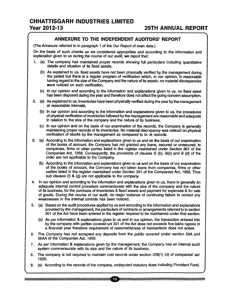Year 2012-13

## **29TH ANNUAL REPORT**

### ANNEXURE TO THE INDEPENDENT AUDITORS' REPORT

**(The Annexure referred to in paragraph 1 of the Our Report of even date.)**

**On the basis of such checks as we considered appropriate and according to the information and explanation given to us during the course of our audit, we report that:**

- **1. (a) The company has maintained proper records showing full particulars including quantitative details and situation of its fixed assets.**
	- **(b) As explained to us, fixed assets have not been physically verified by the management during the period but there is a regular program of verification which, in our opinion, is reasonable having regard to the size ofthe Company and the nature of its assets, no material discrepancies were noticed on such verification.**
	- **(c) In our opinion and according to the information and explanations given to us, no fixed asset has been disposed during the year and therefore does not affect the going concern assumption.**
- **2. (a) As explained to us, inventories have been physically verified during the year by the management at reasonable intervals.**
	- **(b) In our opinion and according to the information and explanations given to us, the procedures of physical verification of inventories followed by the management are reasonable and adequate in relation to the size of the company and the nature of its business.**
	- **(c) In our opinion and on the basis of our examination of the records, the Company is generally maintaining proper records of its inventories. No material discrepancy was noticed on physical verification of stocks by the management as compared to be ok records.**
- **3. (a) According to the information and explanations given to us and on the basis of our examination** of the books of account, the Company has not granted any loans, secured or unsecured, to companies, firms or other parties listed in the register maintained under Section 301 of the **Companies Act, 1956. Consequently, the provisions of clauses iii (b), iii(c) and iii (d) of the order are not applicable to the Company.**
	- **(b) According to the information and explanations given to us and on the basis of our examination of the books of account, the Company has not taken loans from companies, firms or other parties listed in the register maintained under Section 301 of the Companies Act, 1956. Thus sub clauses (f) & (g) are not applicable to the company.**
- **4. In our opinion and according to the information and explanations given to us, there is generally an adequate internal control procedure commensurate with the size of the company and the nature of its business, for the purchase of inventories & fixed assets and payment for expenses & for sale of goods. During the course of our audit, no major instance of continuing failure to correct any weaknesses in the internal controls has been noticed.**
- **5. (a) Based on the audit procedures applied by us and according to the information and explanations provided by the management, the particulars of contracts or arrangements referred to in section 301 of the Act have been entered in the register required to be maintained under that section.**
	- **(b) As per information & explanations given to us and in our opinion, the transaction entered into by the company with parties covered u/s 301 of the Act does not exceeds five lakhs rupees in a financial year therefore requirement of reasonableness of transactions does not arises.**
- <sup>6</sup> **. The Company has not accepted any deposits from the public covered under section 58A and 58AA of the Companies Act, 1956.**
- **7. As per information & explanations given by the management, the Company has an internal audit system commensurate with its size and the nature of its business.**
- <sup>8</sup> **. The company is not required to maintain cost records under section 209(1) (d) of companies' act 1956.**
- **9. (a) According to the records of the company, undisputed statutory dues including Provident Fund,**

**& - .................**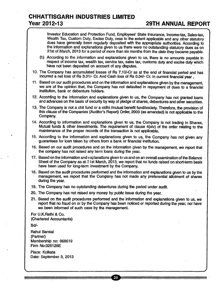## **29TH ANNUAL REPORT**

**Investor Education and Protection Fund, Employees' State Insurance, Income-tax, Sales-tax, Wealth Tax, Custom Duty, Excise Duty, cess to the extent applicable and any other statutory dues have generally been regularly deposited with the appropriate authorities. According to the information and explanations given to us there were no outstanding statutory dues as on 31st of March, 2013 for a period of more than six months from the date they became payable.**

- **(b) According to the information and explanations given to us, there is no amounts payable in** respect of income tax, wealth tax, service tax, sales tax, customs duty and excise duty which **have not been deposited on account of any disputes.**
- **10. The Company has accumulated losses of Rs 7.10/-Cr as at the end of financial period and has incurred a net loss ot Rs 3.31/- Cr. And Cash loss of Rs 0.04/- Cr. in current financial year.**
- **11. Based on our audit procedures and on the information and explanations given by the management, we are of the opinion that, the Company has not defaulted in repayment of dues to a financial institution, bank or debenture holders.**
- **12. According to the information and explanations given to us. the Company has not granted loans and advances on the basis of security by way of pledge of shares, debentures and other securities.**
- **13. The Company is not a chit fund or a nidhi /mutual benefit fund/society. Therefore, the provision of this clause of the Companies (Auditor's Report) Crder, 2003 (as amended) is not applicable to the Company.**
- **14. According to information and explanations given to us, the Company is not trading in Shares, Mutual funds & other Investments. The requirement of clause 4(xiv) of the order relating to the maintenance of the proper records of the transaction is not applicable.**
- **15. According to the information and explanations given to us, the Company has not given any guarantees for loan taken by others from a bank or financial institution.**
- **16. Based on our audit procedures and on the information given by the management, we report that the company has not raised any term loans during the year.**
- **17. Based on the information and explanations given to us and on an overall examination of the Balance Sheet of the Company as at S 1st March, 2013, we report that no funds raised on short-term basis have been used for long-term investment by the Company.**
- **18. Based on the audit procedures performed and the information and explanations given to us by the management, we report that the Company has not made any preferential allotment of shares during the year.**
- **19. The Company has no outstanding debentures during the period under audit.**
- **20. The Company has not raised any money by public issue during the year.**
- **21. Based on the audit procedures performed and the information and explanations given to us, we report that no fraud on or by the Company has been noticed or reported during the year, nor have we been informed of such case by the management.**

**For U.K.Rathi & Co. (Chartered Accountants)**

**Sd/-**

**Rahul Bansal (Partner) Membership no: 068619 Firm No:326128E**

**Place: Kolkata Date: September 3, 2013**

20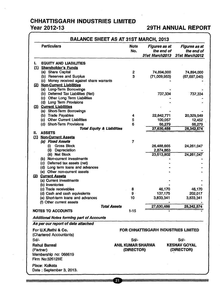Year 2012-13

# 29TH ANNUAL REPORT

|      | <b>BALANCE SHEET AS AT 31ST MARCH, 2013</b>                 |                     |                |                                                      |                                                      |
|------|-------------------------------------------------------------|---------------------|----------------|------------------------------------------------------|------------------------------------------------------|
|      | <b>Particulars</b>                                          |                     | Note<br>No.    | <b>Figures as at</b><br>the end of<br>31st March2013 | <b>Figures as at</b><br>the end of<br>31st March2012 |
| ı.   | <b>EQUITY AND LIABILITIES</b>                               |                     |                |                                                      |                                                      |
|      | (1) Shareholder's Funds                                     |                     |                |                                                      |                                                      |
|      | (a) Share Capital                                           |                     | 2              | 74,894,000                                           | 74,894,000                                           |
|      | (b) Reserves and Surplus                                    |                     | 3              | (71,009,953)                                         | (67, 697, 040)                                       |
|      | (c) Money received against share warrants                   |                     |                |                                                      |                                                      |
|      | (2) Non-Current Liabilities                                 |                     |                |                                                      |                                                      |
|      | (a) Long-Term Borrowings                                    |                     |                |                                                      |                                                      |
|      | (b) Deferred Tax Liabilities (Net)                          |                     |                | 737,334                                              | 737,334                                              |
|      | (c) Other Long Term Liabilities<br>(d) Long Term Provisions |                     |                |                                                      |                                                      |
|      | (3) Current Liabilities                                     |                     |                |                                                      |                                                      |
|      | (a) Short-Term Borrowings                                   |                     |                |                                                      |                                                      |
|      | (b) Trade Payables                                          |                     | 4              | 22,842,771                                           | 20,329,549                                           |
|      | (c) Other Current Liabilities                               |                     | 5              | 100,057                                              | 12,452                                               |
|      | (d) Short-Term Provisions                                   |                     | 6              | 66,279                                               | 66,279                                               |
|      | <b>Total Equity &amp; Liabilities</b>                       |                     |                | 27,630,488                                           | 28,342,574                                           |
| H.   | <b>ASSETS</b>                                               |                     |                |                                                      |                                                      |
|      | (1) Non-Current Assets                                      |                     |                |                                                      |                                                      |
|      | (a) Fixed Assets                                            |                     | $\overline{7}$ |                                                      |                                                      |
|      | (i) Gross Block                                             |                     |                | 26,488,665                                           | 24,261,047                                           |
|      | (ii)<br>Depreciation                                        |                     |                | 2,874,863                                            |                                                      |
|      | (iii) Net Block                                             |                     |                | 23,613,802                                           | 24,261,047                                           |
|      | (b) Non-current investments                                 |                     |                |                                                      |                                                      |
|      | (c) Deferred tax assets (net)                               |                     |                |                                                      |                                                      |
|      | (d) Long term loans and advances                            |                     |                |                                                      |                                                      |
|      | (e) Other non-current assets                                |                     |                |                                                      |                                                      |
|      | (2) Current Assets                                          |                     |                |                                                      |                                                      |
|      | (a) Current investments                                     |                     |                |                                                      |                                                      |
|      | (b) Inventories                                             |                     |                |                                                      |                                                      |
|      | (c) Trade receivables                                       |                     | 8              | 46,170                                               | 46,170                                               |
|      | (d) Cash and cash equivalents                               |                     | 9              | 137,175                                              | 202,017                                              |
|      | (e) Short-term loans and advances                           |                     | 10             | 3,833,341                                            | 3,833,341                                            |
|      | (f) Other current assets                                    | <b>Total Assets</b> |                | 27,630,488                                           | 28,342,57                                            |
|      | <b>NOTES TO ACCOUNTS</b>                                    |                     | 1-15           |                                                      |                                                      |
|      |                                                             |                     |                |                                                      |                                                      |
|      | <b>Additional Notes forming part of Accounts</b>            |                     |                |                                                      |                                                      |
|      | As per our report of date attached                          |                     |                |                                                      |                                                      |
|      | For U.K.Rathi & Co.                                         |                     |                | FOR CHHATTISGARH INDUSTRIES LIMITED                  |                                                      |
|      | (Chartered Accountants)                                     |                     |                |                                                      |                                                      |
| Sd/- |                                                             |                     | Sd/-           |                                                      | Sd/-                                                 |
|      | <b>Rahul Bansal</b>                                         |                     |                | <b>ANIL KUMAR SHARMA</b>                             | <b>KESHAV GOYAL</b>                                  |
|      | (Partner)                                                   |                     | (DIRECTOR)     |                                                      | (DIRECTOR)                                           |
|      | Membership no: 068619                                       |                     |                |                                                      |                                                      |
|      | Firm No:326128E                                             |                     |                |                                                      |                                                      |
|      |                                                             |                     |                |                                                      |                                                      |
|      | Place: Kolkata                                              |                     |                |                                                      |                                                      |
|      | Date: September 3, 2013.                                    |                     |                |                                                      |                                                      |

 $\overline{21}$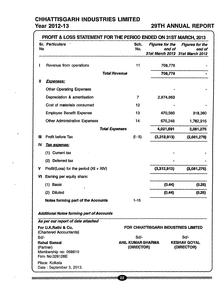# 29TH ANNUAL REPORT

| <b>No</b> | <b>Sr. Particulars</b>                                     | Sch.<br>No.                      | <b>Figures for the</b><br>end of    | <b>Figures for the</b><br>end of<br>31st March 2013 31st March 2012 |
|-----------|------------------------------------------------------------|----------------------------------|-------------------------------------|---------------------------------------------------------------------|
|           | Revenue from operations                                    | 11                               | 708,778                             |                                                                     |
|           |                                                            | <b>Total Revenue</b>             | 708,778                             |                                                                     |
| Н         | <b>Expenses:</b>                                           |                                  |                                     |                                                                     |
|           | <b>Other Operating Expenses</b>                            |                                  |                                     |                                                                     |
|           | Depreciation & amortisation                                | 7                                | 2,874,863                           |                                                                     |
|           | Cost of materials consumed                                 | 12                               |                                     |                                                                     |
|           | <b>Employee Benefit Expense</b>                            | 13                               | 470,580                             | 318,360                                                             |
|           | <b>Other Administrative Expenses</b>                       | 14                               | 676,248                             | 1,762,916                                                           |
|           | <b>Total Expenses</b>                                      |                                  | 4,021,691                           | 2,081,276                                                           |
| Ш         | Profit before Tax                                          | $(I - II)$                       | (3,312,913)                         | (2,081,276)                                                         |
| łν        | <b>Tax expense:</b>                                        |                                  |                                     |                                                                     |
|           | (1) Current tax                                            |                                  |                                     |                                                                     |
|           | (2) Deferred tax                                           |                                  |                                     |                                                                     |
| v.        | Profit/(Loss) for the period $(XI + XIV)$                  |                                  | (3,312,913)                         | (2,081,276)                                                         |
| VI.       | Earning per equity share:                                  |                                  |                                     |                                                                     |
|           | $(1)$ Basic                                                |                                  | (0.44)                              | (0.28)                                                              |
|           | ţ<br>(2) Diluted                                           |                                  | (0.44)                              | (0.28)                                                              |
|           | Notes forming part of the Accounts                         | $1 - 15$                         |                                     |                                                                     |
|           | <b>Additional Notes forming part of Accounts</b>           |                                  |                                     |                                                                     |
|           | As per our report of date attached<br>For U.K. Rathi & Co. |                                  | FOR CHHATTISGARH INDUSTRIES LIMITED |                                                                     |
|           | (Chartered Accountants)                                    |                                  |                                     |                                                                     |
| Sd/-      | <b>Rahul Bansal</b>                                        | Sd/-<br><b>ANIL KUMAR SHARMA</b> |                                     | Sd/-<br><b>KESHAV GOYAL</b>                                         |
|           | (Partner)                                                  | (DIRECTOR)                       |                                     | (DIRECTOR)                                                          |
|           | Membership no: 068619<br>Firm No:326128E                   |                                  |                                     |                                                                     |
|           | Place: Kolkata<br>Date: September 3, 2013.                 |                                  |                                     |                                                                     |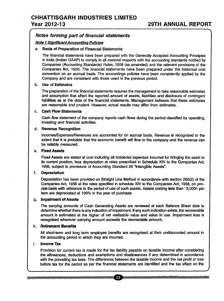## **29TH ANNUAL REPORT**

#### *Notes forming part of financial statements*

#### **Note 1 Significant Accounting Policies**

#### **a. Basis of Preparation of Financiai Statements**

**The financial statements have been prepared with the Generally Accepted Accounting Principles in India (Indian GAAP) to comply in all material respects with the accounting standards notified by Companies (Accounting Standards) Rules, 2006 (as amended) and the relevant provisions of the Companies Act, 1956. The financial statements have been prepared under the historical cost convention on an accrual basis. The accountings policies have been consistently applied by the Company and are consistent with those used in the previous period.**

#### **b. Use of Estimates**

**The preparation of the financial statements requires the management to take reasonable estimates and assumption that affect the reported amount of assets, liabilities and disclosure of contingent liabilities as at the date of the financial statements. Management believes that these estimates are reasonable and prudent. However, actual results may** *differ* **from estimates.**

#### **c. Cash How Statements**

**Cash flow statement of the company reports cash flows during the period classified by operating, investing and financial activities.**

#### **d. Revenue Recognition**

**Incomes/Expenses/Revenues are accounted for on accrual basis. Revenue is recognised to the extent that it is probable that the economic benefit will flow to the company and the revenue can be reliably measured.**

#### **6. Hxed Assets**

**Rxed Assets are stated at cost including all incidental expenses incurred for bringing the asset to its current position, less depreciation at rates prescribed in Schedule XIV to the Companies Act, 1956, subject to provisions of Accounting Standard 26 "Intangible Assets".**

#### **f. Depreciation**

**Depreciation has been provided on Straight Line Method in accordance with section 205(2) of the Companies Act, 1956 at the rates specified in schedule XIV to the Companies Act, 1956, on** *prorata* **basis with** *reference to* **the period of use of such assets. Assets costing less than ' 5,000/- per** item are depreciated at 100% in the year of purchase.

#### **g. Impairment of Assets**

**The carrying amounts of Cash Generating Assets are reviewed at each Balance Sheet date to determine whether there is any indication of impairment. If any such indication exists, the recoverable amount is estimated at the higher of net realisable value and value in use. Impairment loss is recognised wherever carrying amount exceeds the recoverable amount.**

#### **h. Retirement Benefits**

**All short-term and long term employee benefits are recognised at their undiscounted amount in the accounting period in which they are incurred.**

#### **i. Income Tax**

**Provision for current tax is made for the tax liability payable on taxable income'after considering the allowances, deductions and exemptions and disallowances if any determined in accordance with the prevailing tax laws. The differences between the taxable income and the net profit or ioss before tax for the period as per the financial statements are identified and the tax effect on the**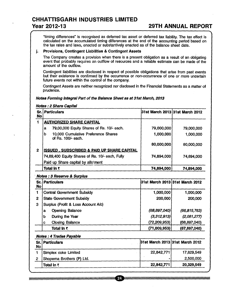### **29TH ANNUAL REPORT ............ .......' 'v**

*y*

**■Timing differences" is recognised as deferred tax asset or deferred tax liability. The tax effect is calculated on the accumulated timing differences at the end of the accounting period based on the tax rates and laws, enacted or substantively enacted as of the balance sheet date.**

#### **i-** Provisions, Contingent Liabilities & Contingent Assets

**The Company creates a provision when there is a present obligation as a result of an obligating event that probably requires an outflow of resources and a reliable estimate can be made of the amount of the outflow.**

**Contingent liabilities are disclosed in respect of possible obligations that arise from past events but their existence is confirmed by the occurrence or non-occurrence of one or more uncertain future events not within the control of the company.**

**Contingent Assets are neither recognized nor disclosed in the Financial Statements as a matter of prudence.**

#### *Notes Forming Integral Part of the Balance Sheet as at 31st March, 2013*

| No           | Sr. Particulars                                                | 31st March 2013 31st March 2012 |            |
|--------------|----------------------------------------------------------------|---------------------------------|------------|
|              | <b>AUTHORIZED SHARE CAPITAL</b>                                |                                 |            |
|              | 79,00,000 Equity Shares of Rs. 10/- each.<br>a                 | 79,000,000                      | 79,000,000 |
|              | 10,000 Cumulative Preference Shares<br>b<br>of Rs. 100/- each. | 1,000,000                       | 1,000,000  |
|              |                                                                | 80,000,000                      | 80,000,000 |
| $\mathbf{2}$ | <b>ISSUED. SUBSCRIBED &amp; PAID UP SHARE CAPITAL</b>          |                                 |            |
|              | 74,89,400 Equity Shares of Rs. 10/- each, Fully                | 74,894,000                      | 74,894,000 |
|              | Paid up Share capital by allotment                             |                                 |            |
|              | Total in ₹                                                     | 74,894,000                      | 74,894,000 |

#### *N o te s : 2 Share C apital*

#### *N o te s : 3 R eserve & Surplus*

| <b>No</b>    | Sr.   Particulars                   |                                 | 31st March 2013 31st March 2012 |
|--------------|-------------------------------------|---------------------------------|---------------------------------|
|              | <b>Central Government Subsidy</b>   | 1,000,000                       | 1,000,000                       |
| $\mathbf{2}$ | <b>State Government Subsidy</b>     | 200,000                         | 200,000                         |
| 3            | Surplus (Profit & Loss Account A/c) |                                 |                                 |
|              | <b>Opening Balance</b><br>a         | (68, 897, 040)                  | (66, 815, 763)                  |
|              | During the Year<br>b                | (3,312,913)                     | (2,081,277)                     |
|              | <b>Closing Balance</b><br>c         | (72, 209, 953)                  | (68, 897, 040)                  |
|              | Total in $\bar{\tau}$               | (71,009,953)                    | (67, 697, 040)                  |
|              | <b>Notes: 4 Trades Payable</b>      |                                 |                                 |
|              | Sr. Particulars                     | 31st March 2013 31st March 2012 |                                 |

| No <sub>1</sub> | <b>Sr. Particulars</b>     | 31st March 2013 31st March 2012 |            |
|-----------------|----------------------------|---------------------------------|------------|
|                 | Simplex coke Limited       | 22.842,771                      | 17.829.549 |
|                 | Shoperna Brothers (P) Ltd. |                                 | 2,500,000  |
|                 | Total In $\bar{z}$         | 22,842,771                      | 20,329,549 |

 $24$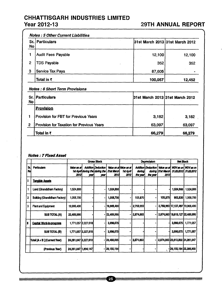## **29TH ANNUAL REPORT**

| No | Sr. Particulars           | 31st March 2013 31st March 2012 |        |
|----|---------------------------|---------------------------------|--------|
|    | <b>Audit Fees Payable</b> | 12,100                          | 12,100 |
| 2  | <b>TDS Payable</b>        | 352<br>A,                       | 352    |
| 3  | Service Tax Paya          | 87,605                          |        |
|    | Total in $\bar{\tau}$     | 100,057                         | 12,452 |

| No.            | <b>Sr. Particulars</b>                      | 31st March 2013 31st March 2012 |        |
|----------------|---------------------------------------------|---------------------------------|--------|
|                | Provision                                   |                                 |        |
|                | <b>Provision for FBT for Previous Years</b> | 3,182                           | 3,182  |
| $\overline{2}$ | Provision for Taxation for Previous Years   | 63.097                          | 63,097 |
|                | Total in ₹                                  | 66,279                          | 66,279 |

#### Notes: 7 Fixed Asset

|          |                                 |                         |                     | <b>Gross Block</b>                                                   |                                  |                                              |                      | Depreciaton                           |                                                     | Net Block                       |                                                     |
|----------|---------------------------------|-------------------------|---------------------|----------------------------------------------------------------------|----------------------------------|----------------------------------------------|----------------------|---------------------------------------|-----------------------------------------------------|---------------------------------|-----------------------------------------------------|
| S.<br>No | <b>Particulars</b>              | Vakie as at<br>2012     | year                | <b>Addition Deduction</b><br>1st April during the during the<br>veer | <b><i>Stst March</i></b><br>2013 | Value as at Value as at<br>1st April<br>2012 | cturinal<br>the year | <b>Addition Deduction</b><br>the year | <b>Value as at</b><br>during   31st March  <br>2013 |                                 | <b>WDV as on WDV as on</b><br>31.03.2013 31.03.2012 |
|          | <b>Tangible Assets</b>          |                         |                     |                                                                      |                                  |                                              |                      |                                       |                                                     |                                 |                                                     |
|          | Land (Ghandidham Factory)       | 1,524,800               |                     |                                                                      | 1,524,800                        |                                              |                      |                                       |                                                     | 1,524,800                       | 1,524,800                                           |
| 2        | Building (Ghandidham Factory)   | 1,058,700               |                     |                                                                      | 1,058,700                        |                                              | 105,870              |                                       | 105,870                                             | 952,830                         | 1,058,700                                           |
| 3        | <b>Plant and Equipment</b>      | 19,906,490              |                     |                                                                      | 19,906,490                       |                                              | 2,768,993            |                                       |                                                     | 2,768,993 17,137,497 19,906,490 |                                                     |
|          | SUB TOTAL (A)                   | 22,489,990              |                     |                                                                      | 22,489,990                       |                                              | 2,874,863            |                                       |                                                     | 2,874,863 19,615,127 22,489,990 |                                                     |
|          | <b>Capital Work-In-progress</b> |                         | 1,771,057 2,227,618 |                                                                      | 3,998,675                        |                                              |                      |                                       |                                                     | 3,998,675                       | 1,771,057                                           |
|          | SUB TOTAL (B)                   | 1,771,057 2,227,618     |                     |                                                                      | 3,998,675                        |                                              |                      |                                       |                                                     | 3,998,675                       | 1,771,057                                           |
|          | Total [A + B] (Current Year)    | 24,281,047 2,227,618    |                     |                                                                      | 26,488,665                       |                                              | 2,874,863            |                                       |                                                     | 2,874,863 23,613,802 24,261,047 |                                                     |
|          | (Previous Year)                 | 24.261.047   1.894, 147 |                     |                                                                      | -   26, 155, 194                 |                                              |                      |                                       |                                                     | - 26, 155, 194 22, 366, 900     |                                                     |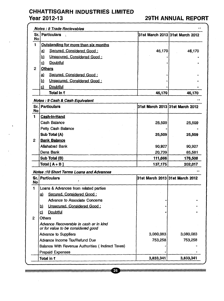# **29TH ANNUAL REPORT**

≕

| Sr. l                | <b>Particulars</b>                                                           | 31st March 2013 31st March 2012 |           |
|----------------------|------------------------------------------------------------------------------|---------------------------------|-----------|
| <b>No</b><br>1.      |                                                                              |                                 |           |
|                      | Outstanding for more than six months                                         |                                 |           |
|                      | al<br>Secured. Considered Good:                                              | 46,170                          | 46,170    |
|                      | ÞΙ<br>Unsecured. Considered Good:                                            |                                 |           |
|                      | Doubtful<br><u>ା</u>                                                         |                                 |           |
| $\overline{c}$       | <b>Others</b>                                                                |                                 |           |
|                      | a)<br>Secured. Considered Good:                                              |                                 |           |
|                      | <u>b)</u><br>Unsecured, Considered Good:                                     |                                 |           |
|                      | <b>Doubtful</b><br><u>c)</u>                                                 |                                 |           |
|                      | Total in ₹                                                                   | 46,170                          | 46,170    |
|                      | <b>Notes: 9 Cash &amp; Cash Equivalent</b>                                   |                                 | $\cdots$  |
| Sr.<br><b>No</b>     | <b>Particulars</b>                                                           | 31st March 2013 31st March 2012 |           |
| $\mathbf{1}$         | Cash-in-Hand                                                                 |                                 |           |
|                      | Cash Balance                                                                 | 25,509                          | 25,509    |
|                      | Petty Cash Balance                                                           |                                 |           |
|                      | Sub Total (A)                                                                | 25,509                          | 25,509    |
| 2                    | <b>Bank Balance</b>                                                          |                                 |           |
|                      | Allahabad Bank                                                               | 90,927                          | 90,927    |
|                      | Dena Bank                                                                    | 20,739                          | 85,581    |
|                      | Sub Total (B)                                                                | 111,666                         | 176,508   |
|                      | Total $[A + B]$                                                              | 137,175                         | 202,017   |
|                      | Notes: 10 Short Terms Loans and Advances                                     |                                 |           |
| S <sub>L</sub><br>No | <b>Particulars</b><br>÷                                                      | 31st March 2013 31st March 2012 |           |
| 1                    | Loans & Advances from related parties                                        |                                 |           |
|                      | Secured, Considered Good:<br>a                                               |                                 |           |
|                      | Advance to Associate Concerns                                                |                                 |           |
|                      | <u>b)</u><br>Unsecured, Considered Good:                                     |                                 |           |
|                      | Doubtful<br><u>ୁ</u>                                                         |                                 |           |
| 2                    | Others                                                                       |                                 |           |
|                      | Advance Recoverable in cash or in kind<br>or for value to be considered good |                                 |           |
|                      | <b>Advance to Suppliers</b>                                                  | 3,080,083                       | 3,080,083 |
|                      | Advance Income Tax/Refund Due                                                | 753,258                         | 753,258   |
|                      | Balance With Revenue Authorities (Indirect Taxes)                            |                                 |           |
|                      |                                                                              |                                 |           |
|                      | <b>Prepaid Expenses</b>                                                      |                                 |           |

 $= 26 =$ 

 $\equiv$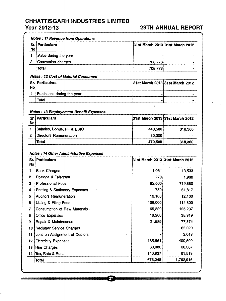# 29TH ANNUAL REPORT

| <b>Notes: 11 Revenue from Operations</b> |                       |                                 |  |  |
|------------------------------------------|-----------------------|---------------------------------|--|--|
| No                                       | Sr. Particulars       | 31st March 2013 31st March 2012 |  |  |
|                                          | Sales during the year |                                 |  |  |
| 2                                        | Conversion charges    | 708,778                         |  |  |
|                                          | <b>Total</b>          | 708,778                         |  |  |

### **Notes : 12 Cost of Material Consumed**

| No | <b>Sr. Particulars</b>    | 31st March 2013 31st March 2012 |
|----|---------------------------|---------------------------------|
|    | Purchases during the year |                                 |
|    | <b>Total</b>              |                                 |
|    |                           |                                 |

#### *N o te s : 13 E m ployem ent B enefit Expenses*

| No | <b>Sr. Particulars</b>     |         | 31st March 2013 31st March 2012 |
|----|----------------------------|---------|---------------------------------|
|    | Salaries, Bonus, PF & ESIC | 440.580 | 318.360                         |
|    | Directors Remuneration     | 30,000  |                                 |
|    | <b>Total</b>               | 470,580 | 318,360                         |

#### *N o te s : 14 O ther Adm inistrative Expenses*

| Sr. I<br>No  | <b>Particulars</b>                        |         | 31st March 2013 31st March 2012 |
|--------------|-------------------------------------------|---------|---------------------------------|
| 1            | <b>Bank Charges</b>                       | 1,061   | 13,533                          |
| $\mathbf{2}$ | Postage & Telegram                        | 270     | 1,988                           |
| 3            | <b>Professional Fees</b>                  | 62,500  | 719,880                         |
| 4            | <b>Printing &amp; Stationery Expenses</b> | 750     | 61,817                          |
| 5            | <b>Auditors Remuneration</b>              | 12,100  | 12,100                          |
| 6            | Listing & Filing Fees                     | 106,000 | 114,800                         |
| 7            | Consumption of Raw Materials              | 65,820  | 125,207                         |
| 8            | <b>Office Expenses</b>                    | 19,260  | 38,919                          |
| 9            | Repair & Maintenance                      | 21,589  | 77,874                          |
| 10           | Registrar Service Charges                 |         | 65,090                          |
| 11           | Loss on Assignment of Debtors             |         | 3,013                           |
| 12           | <b>Electricity Expenses</b>               | 185,961 | 400,509                         |
| 13           | <b>Hire Charges</b>                       | 60,000  | 66,667                          |
| 14           | Tax, Rate & Rent                          | 140,937 | 61,519                          |
|              | Total                                     | 676,248 | 1,762,916                       |

**\ \_\_\_\_\_\_\_\_\_\_\_\_\_\_\_\_\_\_\_\_\_\_\_\_\_\_\_\_\_\_\_\_\_\_\_\_\_\_\_\_\_\_\_\_\_\_\_\_\_\_\_\_\_\_\_^ ---------------------------------------------------------- /** $27$   $-$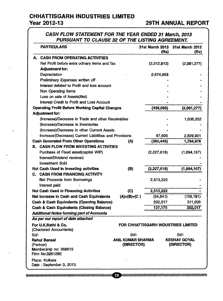# **Year 2012-13**

**k.**

# 29TH ANNUAL REPORT

### *CASH FLOW STATEMENT FOR THE YEAR ENDED 31 March, 2013 PURSUANT TO CLAUSE 32 OF THE USTING AGREEMENT.*

|                                                | <b>PARTICULARS</b>                                     |                          | (Rs)                                | 31st March 2013 31st March 2012<br>(Rs) |
|------------------------------------------------|--------------------------------------------------------|--------------------------|-------------------------------------|-----------------------------------------|
|                                                | A. CASH FROM OPERATING ACTIVITIES                      |                          |                                     |                                         |
|                                                | Net Profit before extra odinary items and Tax          |                          | (3,312,913)                         | (2,081,277)                             |
|                                                | <b>Adjustment for:</b>                                 |                          |                                     |                                         |
|                                                | Depreciation                                           |                          | 2,874,863                           |                                         |
|                                                | Preliminary Expenses written off                       |                          |                                     |                                         |
|                                                | interest debited to Profit and loss account            |                          |                                     |                                         |
|                                                | Non Operating Items                                    |                          |                                     |                                         |
|                                                | Loss on sale of Assets(Net)                            |                          |                                     |                                         |
|                                                | Interest Credit to Profit and Loss Account             |                          |                                     |                                         |
|                                                | <b>Operating Profit Before Working Capital Changes</b> |                          | (438,050)                           | (2,081,277)                             |
|                                                | <b>Adjustment for:</b>                                 |                          |                                     |                                         |
|                                                | (Increase)/Decrease in Trade and other Receivables     |                          |                                     | 1,036,352                               |
|                                                | (Increase)/Decrease in Inventories                     |                          |                                     |                                         |
|                                                | (Increase)/Decrease in other Current Assets            |                          |                                     |                                         |
|                                                | Increase/(Decrease) Current Liabilities and Provisions |                          | 87,605                              | 2,829,901                               |
|                                                | <b>Cash Generated From Other Operations</b>            | (A)                      | (350, 445)                          | 1,784,976                               |
|                                                | <b>B. CASH FLOW FROM INVESTING ACTIVITIES</b>          |                          |                                     |                                         |
|                                                | Purchase of Fixed asset(capital WIP)                   |                          | (2,227,618)                         | (1,894,167)                             |
|                                                | Interest/Dividend received                             |                          |                                     |                                         |
|                                                | <b>Investment Sold</b>                                 |                          |                                     |                                         |
|                                                | Net Cash Used In Investing activities                  | (B)                      | (2,227,618)                         | (1,894,167)                             |
|                                                | C. CASH FROM FINANCING ACTIVITY                        |                          |                                     |                                         |
|                                                | Net Proceeds from Borrowings                           |                          | 2,513,222                           |                                         |
|                                                | Interest paid                                          |                          |                                     |                                         |
|                                                | <b>Net Cash Used in Financing Activities</b>           | (C)                      | 2,513,222                           |                                         |
|                                                | Net Increase in Cash and Cash Equivalents              | $(A)+(B)+(C)$            | (64, 841)                           | (109, 191)                              |
|                                                | Cash & Cash Equivalents (Opening Balance)              |                          | 202,017                             | 311,208                                 |
|                                                | Cash & Cash Equivalents (Closing Balance)              |                          | 137,175                             | 202,017                                 |
|                                                | <b>Additional Notes forming part of Accounts</b>       |                          |                                     |                                         |
|                                                | As per our report of date attached                     |                          |                                     |                                         |
| For U.K.Rathi & Co.<br>(Chartered Accountants) |                                                        |                          | FOR CHHATTISGARH INDUSTRIES LIMITED |                                         |
| Sd/-                                           |                                                        | Sd/-                     |                                     | Sd/-                                    |
|                                                | <b>Rahul Bansal</b>                                    | <b>ANIL KUMAR SHARMA</b> |                                     | <b>KESHAV GOYAL</b>                     |
|                                                | (Partner)<br>Membership no: 068619<br>Firm No:326128E  | (DIRECTOR)               |                                     | (DIRECTOR)                              |
|                                                | Place: Kolkata<br>Date: September 3, 2013.             |                          |                                     |                                         |

 $28<sup>°</sup>$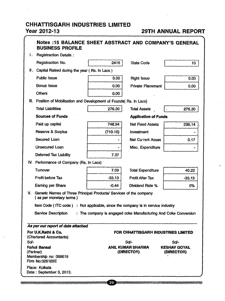# Year 2012-13

# 29TH ANNUAL REPORT

| Notes :15 BALANCE SHEET ABSTRACT AND COMPANY'S GENERAL<br><b>BUSINESS PROFILE</b> |                                                                                               |          |                                     |                             |
|-----------------------------------------------------------------------------------|-----------------------------------------------------------------------------------------------|----------|-------------------------------------|-----------------------------|
| ι.                                                                                | <b>Registraction Details:</b>                                                                 |          |                                     |                             |
|                                                                                   | Registraction No.                                                                             | 2416     | <b>State Code</b>                   | 10                          |
|                                                                                   | II. Capital Raised during the year (Rs. In Lacs)                                              |          |                                     |                             |
|                                                                                   | <b>Public Issue</b>                                                                           | 0.00     | <b>Right Issue</b>                  | 0.00                        |
|                                                                                   | <b>Bonus Issue</b>                                                                            | 0.00     | <b>Private Placement</b>            | 0.00                        |
| <b>Others</b>                                                                     |                                                                                               | 0.00     |                                     |                             |
| 81.                                                                               | Position of Mobilisation and Development of Founds( Rs. In Lacs)                              |          |                                     |                             |
|                                                                                   | <b>Total Liabilities</b>                                                                      | 276.30   | <b>Total Assets</b>                 | 276.30                      |
|                                                                                   | <b>Sources of Funds</b>                                                                       |          | <b>Application of Funds</b>         |                             |
|                                                                                   | Paid up capital                                                                               | 748.94   | <b>Net Fixed Assets</b>             | 236.14                      |
|                                                                                   | Reserve & Surplus                                                                             | (710.10) | Investment                          |                             |
|                                                                                   | Secured Loan                                                                                  |          | <b>Net Current Asses</b>            | 0.17                        |
|                                                                                   | Unsecured Loan                                                                                |          | Misc. Expenditure                   |                             |
|                                                                                   | Deferred Tax Liability                                                                        | 7.37     |                                     |                             |
| IV.                                                                               | Performance of Company (Rs. In Lacs)                                                          |          |                                     |                             |
| Turnover                                                                          |                                                                                               | 7.09     | <b>Total Expenditure</b>            | 40.22                       |
|                                                                                   | Profit before Tax                                                                             | -33.13   | <b>Profit After Tax</b>             | -33.13                      |
|                                                                                   | Earning per Share                                                                             | $-0.44$  | Dividend Rate %                     | 0%                          |
| V.                                                                                | Generic Names of Three Principal Products/ Services of the company<br>(as per monetary terms) |          |                                     |                             |
|                                                                                   | Item Code (ITC code) : Not applicable, since the company is in service industry               |          |                                     |                             |
|                                                                                   | <b>Service Description</b><br>: The company is engaged coke Manufacturing And Coke Conversion |          |                                     |                             |
|                                                                                   | As per our report of date attached                                                            |          |                                     |                             |
|                                                                                   | For U.K.Rathi & Co.<br>(Chartered Accountants)                                                |          | FOR CHHATTISGARH INDUSTRIES LIMITED |                             |
| $Sd$ -                                                                            |                                                                                               |          | Sd/-<br><b>ANIL KUMAR SHARMA</b>    | Sd/-<br><b>KESHAV GOYAL</b> |
| Rahul Bansal<br>(Partner)                                                         |                                                                                               |          | (DIRECTOR)                          | (DIRECTOR)                  |
| Membership no: 068619<br>Firm No:326128E                                          |                                                                                               |          |                                     |                             |
| Place: Kolkata<br>Date: September 3, 2013.                                        |                                                                                               |          |                                     |                             |
|                                                                                   |                                                                                               | 29       |                                     |                             |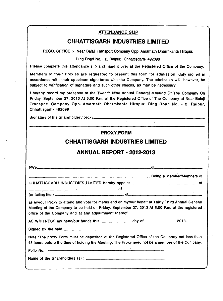### **ATTENDANCE SLIP**

### **, CHHATTISGARH INDUSTRIES LIMITED**

**REGD. OFFICE :- Near Balaji Transport Company Opp. Amarnath Dharmkanta Hirapur,** 

**Ring Road No. - 2. Raipur, Chhattisgarh- 492099**

**Please complete this attendance slip and hand it over at the Registered Office of the Company.**

**Members of their Proxies are requested to present this form for admission, duly signed in accordance with their specimen signatures with the Company. The admission will, however, be subject to verification of signature and such other checks, as may be necessary.**

**I hereby record my presence at the TwentY Nine Annual General Meeting Of The Company On Friday, September 27, 2013 At 5:00 P.m. at the Registered Office of The Company at Near Balaji** Transport Company Opp. Amarnath Dharmkanta Hirapur, Ring Road No. - 2, Raipur, **Chhattisgarh- 492099**

**Signature of the Shareholder***!* **proxy.**

### **PROXY FORM**

### **CHHATTISGARH INDUSTRIES LIMITED**

### **ANNUAL REPORT - 2012-2013**

| <u>is a new contract of the set of the set of the set of the set of the set of the set of the set of the set of the set of the set of the set of the set of the set of the set of the set of the set of the set of the set of th</u>                        |  |  |  |
|-------------------------------------------------------------------------------------------------------------------------------------------------------------------------------------------------------------------------------------------------------------|--|--|--|
|                                                                                                                                                                                                                                                             |  |  |  |
| $\overbrace{\hspace{2.5cm}}^{\text{off}}$ and $\overbrace{\hspace{2.5cm}}^{\text{off}}$ and $\overbrace{\hspace{2.5cm}}^{\text{off}}$ and $\overbrace{\hspace{2.5cm}}^{\text{off}}$                                                                         |  |  |  |
|                                                                                                                                                                                                                                                             |  |  |  |
| as my/our Proxy to attend and vote for me/us and on my/our behalf at Thirty Third Annual General<br>Meeting of the Company to be held on Friday, September 27, 2013 At 5:00 P.m. at the registered<br>office of the Company and at any adjournment thereof. |  |  |  |
| AS WIHTNESS my hand/our hands this ______________ day of __________________ 2013.                                                                                                                                                                           |  |  |  |
|                                                                                                                                                                                                                                                             |  |  |  |
| Note :The proxy Form must be deposited at the Registered Office of the Company not less than<br>48 hours before the time of holding the Meeting. The Proxy need not be a member of the Company.                                                             |  |  |  |
|                                                                                                                                                                                                                                                             |  |  |  |
|                                                                                                                                                                                                                                                             |  |  |  |